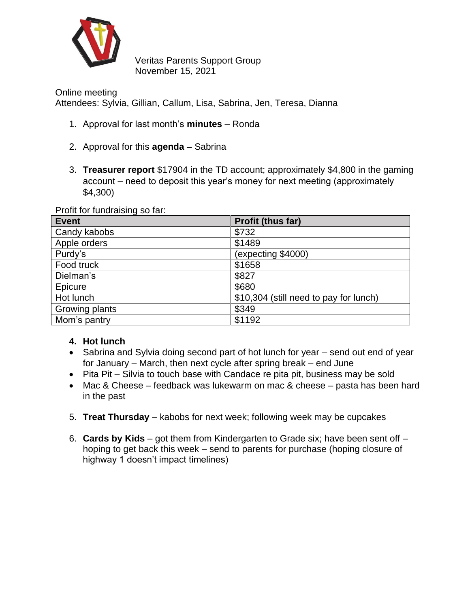

Veritas Parents Support Group November 15, 2021

Online meeting Attendees: Sylvia, Gillian, Callum, Lisa, Sabrina, Jen, Teresa, Dianna

- 1. Approval for last month's **minutes** Ronda
- 2. Approval for this **agenda** Sabrina
- 3. **Treasurer report** \$17904 in the TD account; approximately \$4,800 in the gaming account – need to deposit this year's money for next meeting (approximately \$4,300)

Profit for fundraising so far:

| <b>Event</b>   | Profit (thus far)                      |
|----------------|----------------------------------------|
| Candy kabobs   | \$732                                  |
| Apple orders   | \$1489                                 |
| Purdy's        | (expecting \$4000)                     |
| Food truck     | \$1658                                 |
| Dielman's      | \$827                                  |
| Epicure        | \$680                                  |
| Hot lunch      | \$10,304 (still need to pay for lunch) |
| Growing plants | \$349                                  |
| Mom's pantry   | \$1192                                 |

## **4. Hot lunch**

- Sabrina and Sylvia doing second part of hot lunch for year send out end of year for January – March, then next cycle after spring break – end June
- Pita Pit Silvia to touch base with Candace re pita pit, business may be sold
- Mac & Cheese feedback was lukewarm on mac & cheese pasta has been hard in the past
- 5. **Treat Thursday** kabobs for next week; following week may be cupcakes
- 6. **Cards by Kids** got them from Kindergarten to Grade six; have been sent off hoping to get back this week – send to parents for purchase (hoping closure of highway 1 doesn't impact timelines)